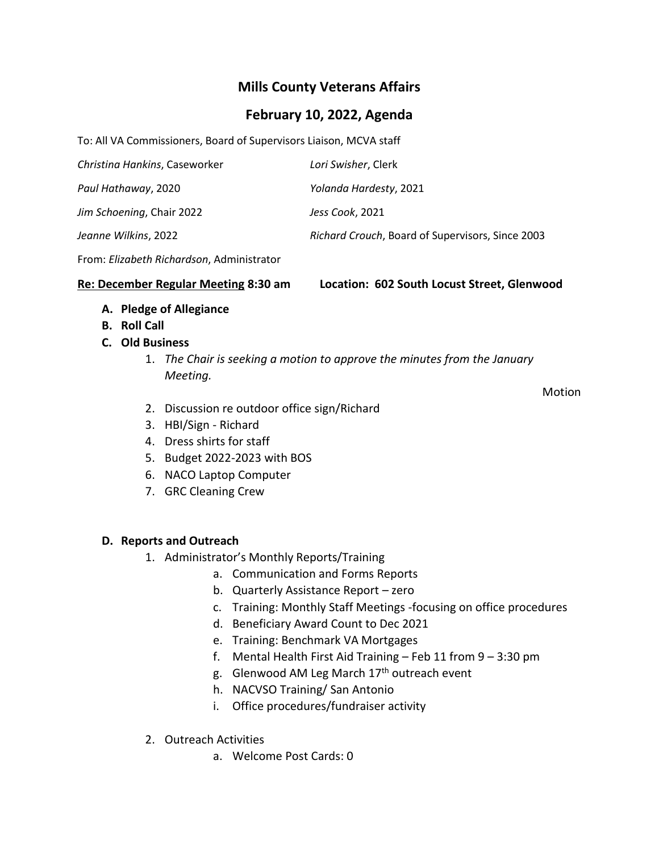# **Mills County Veterans Affairs**

## **February 10, 2022, Agenda**

To: All VA Commissioners, Board of Supervisors Liaison, MCVA staff

| Christina Hankins, Caseworker | Lori Swisher, Clerk                              |
|-------------------------------|--------------------------------------------------|
| Paul Hathaway, 2020           | Yolanda Hardesty, 2021                           |
| Jim Schoening, Chair 2022     | Jess Cook, 2021                                  |
| Jeanne Wilkins, 2022          | Richard Crouch, Board of Supervisors, Since 2003 |

From: *Elizabeth Richardson*, Administrator

**Re: December Regular Meeting 8:30 am Location: 602 South Locust Street, Glenwood**

- **A. Pledge of Allegiance**
- **B. Roll Call**

#### **C. Old Business**

1. *The Chair is seeking a motion to approve the minutes from the January Meeting.*

Motion

- 2. Discussion re outdoor office sign/Richard
- 3. HBI/Sign Richard
- 4. Dress shirts for staff
- 5. Budget 2022-2023 with BOS
- 6. NACO Laptop Computer
- 7. GRC Cleaning Crew

#### **D. Reports and Outreach**

- 1. Administrator's Monthly Reports/Training
	- a. Communication and Forms Reports
	- b. Quarterly Assistance Report zero
	- c. Training: Monthly Staff Meetings -focusing on office procedures
	- d. Beneficiary Award Count to Dec 2021
	- e. Training: Benchmark VA Mortgages
	- f. Mental Health First Aid Training Feb 11 from 9 3:30 pm
	- g. Glenwood AM Leg March 17<sup>th</sup> outreach event
	- h. NACVSO Training/ San Antonio
	- i. Office procedures/fundraiser activity
- 2. Outreach Activities
	- a. Welcome Post Cards: 0